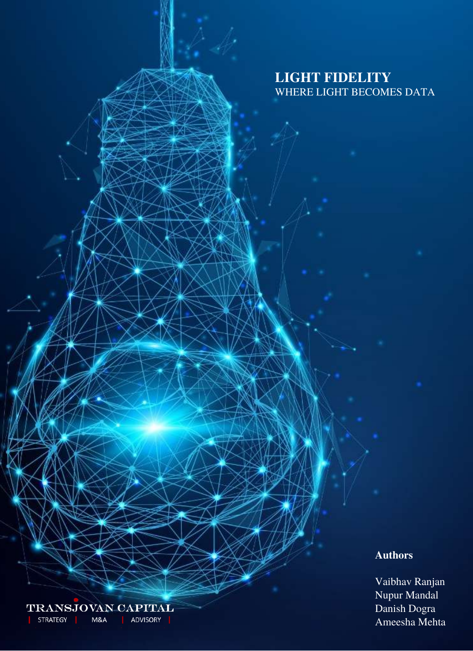# **LIGHT FIDELITY** WHERE LIGHT BECOMES DATA

## **Authors**

Vaibhav Ranjan Nupur Mandal Danish Dogra Ameesha Mehta

TRANSJOVAN CAPITAL STRATEGY ADVISORY | M&A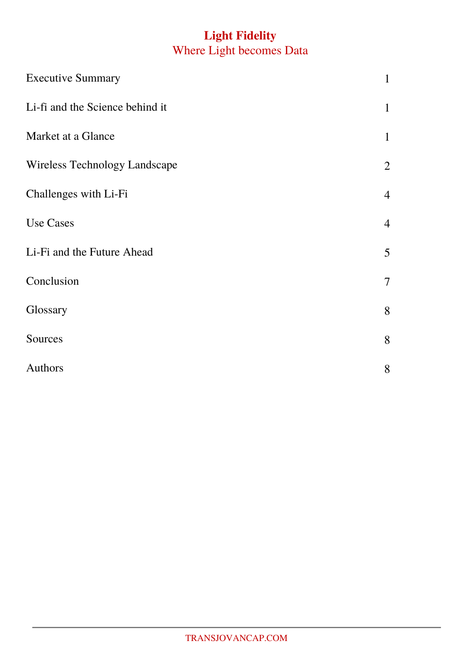# **Light Fidelity** Where Light becomes Data

| <b>Executive Summary</b>             |                |
|--------------------------------------|----------------|
| Li-fi and the Science behind it      |                |
| Market at a Glance                   | $\mathbf{1}$   |
| <b>Wireless Technology Landscape</b> | $\overline{2}$ |
| Challenges with Li-Fi                | $\overline{4}$ |
| <b>Use Cases</b>                     | $\overline{4}$ |
| Li-Fi and the Future Ahead           | 5              |
| Conclusion                           |                |
| Glossary                             | 8              |
| Sources                              | 8              |
| Authors                              | 8              |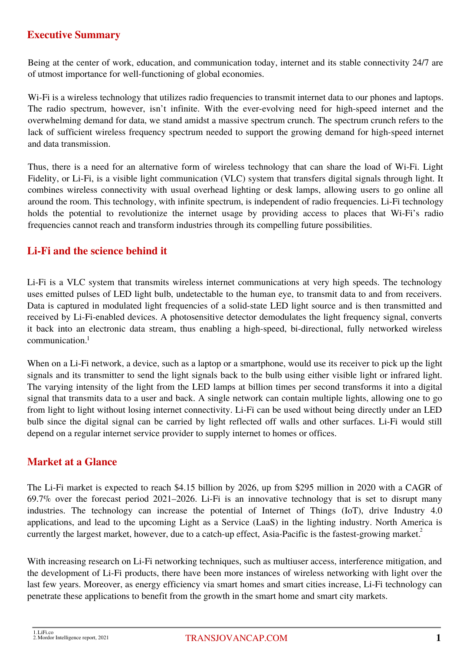# **Executive Summary**

Being at the center of work, education, and communication today, internet and its stable connectivity 24/7 are of utmost importance for well-functioning of global economies.

Wi-Fi is a wireless technology that utilizes radio frequencies to transmit internet data to our phones and laptops. The radio spectrum, however, isn't infinite. With the ever-evolving need for high-speed internet and the overwhelming demand for data, we stand amidst a massive spectrum crunch. The spectrum crunch refers to the lack of sufficient wireless frequency spectrum needed to support the growing demand for high-speed internet and data transmission.

Thus, there is a need for an alternative form of wireless technology that can share the load of Wi-Fi. Light Fidelity, or Li-Fi, is a visible light communication (VLC) system that transfers digital signals through light. It combines wireless connectivity with usual overhead lighting or desk lamps, allowing users to go online all around the room. This technology, with infinite spectrum, is independent of radio frequencies. Li-Fi technology holds the potential to revolutionize the internet usage by providing access to places that Wi-Fi's radio frequencies cannot reach and transform industries through its compelling future possibilities.

# **Li-Fi and the science behind it**

Li-Fi is a VLC system that transmits wireless internet communications at very high speeds. The technology uses emitted pulses of LED light bulb, undetectable to the human eye, to transmit data to and from receivers. Data is captured in modulated light frequencies of a solid-state LED light source and is then transmitted and received by Li-Fi-enabled devices. A photosensitive detector demodulates the light frequency signal, converts it back into an electronic data stream, thus enabling a high-speed, bi-directional, fully networked wireless communication. 1

When on a Li-Fi network, a device, such as a laptop or a smartphone, would use its receiver to pick up the light signals and its transmitter to send the light signals back to the bulb using either visible light or infrared light. The varying intensity of the light from the LED lamps at billion times per second transforms it into a digital signal that transmits data to a user and back. A single network can contain multiple lights, allowing one to go from light to light without losing internet connectivity. Li-Fi can be used without being directly under an LED bulb since the digital signal can be carried by light reflected off walls and other surfaces. Li-Fi would still depend on a regular internet service provider to supply internet to homes or offices.

## **Market at a Glance**

The Li-Fi market is expected to reach \$4.15 billion by 2026, up from \$295 million in 2020 with a CAGR of 69.7% over the forecast period 2021–2026. Li-Fi is an innovative technology that is set to disrupt many industries. The technology can increase the potential of Internet of Things (IoT), drive Industry 4.0 applications, and lead to the upcoming Light as a Service (LaaS) in the lighting industry. North America is currently the largest market, however, due to a catch-up effect, Asia-Pacific is the fastest-growing market.<sup>2</sup>

With increasing research on Li-Fi networking techniques, such as multiuser access, interference mitigation, and the development of Li-Fi products, there have been more instances of wireless networking with light over the last few years. Moreover, as energy efficiency via smart homes and smart cities increase, Li-Fi technology can penetrate these applications to benefit from the growth in the smart home and smart city markets.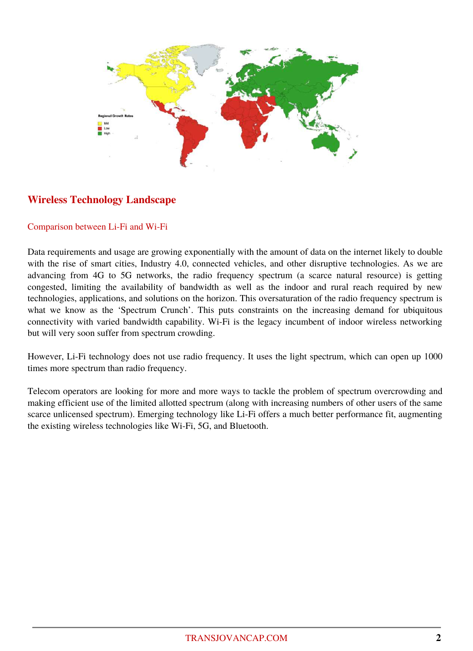

# **Wireless Technology Landscape**

#### Comparison between Li-Fi and Wi-Fi

Data requirements and usage are growing exponentially with the amount of data on the internet likely to double with the rise of smart cities, Industry 4.0, connected vehicles, and other disruptive technologies. As we are advancing from 4G to 5G networks, the radio frequency spectrum (a scarce natural resource) is getting congested, limiting the availability of bandwidth as well as the indoor and rural reach required by new technologies, applications, and solutions on the horizon. This oversaturation of the radio frequency spectrum is what we know as the 'Spectrum Crunch'. This puts constraints on the increasing demand for ubiquitous connectivity with varied bandwidth capability. Wi-Fi is the legacy incumbent of indoor wireless networking but will very soon suffer from spectrum crowding.

However, Li-Fi technology does not use radio frequency. It uses the light spectrum, which can open up 1000 times more spectrum than radio frequency.

Telecom operators are looking for more and more ways to tackle the problem of spectrum overcrowding and making efficient use of the limited allotted spectrum (along with increasing numbers of other users of the same scarce unlicensed spectrum). Emerging technology like Li-Fi offers a much better performance fit, augmenting the existing wireless technologies like Wi-Fi, 5G, and Bluetooth.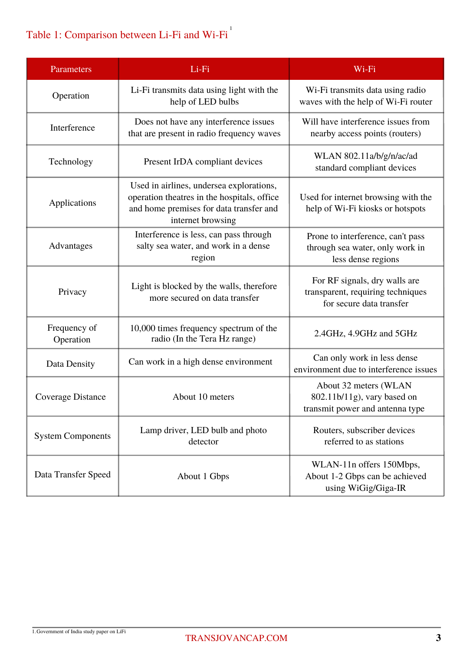# Table 1: Comparison between Li-Fi and Wi-Fi<sup>1</sup>

| Parameters                | Li-Fi                                                                                                                                                   | Wi-Fi                                                                                          |
|---------------------------|---------------------------------------------------------------------------------------------------------------------------------------------------------|------------------------------------------------------------------------------------------------|
| Operation                 | Li-Fi transmits data using light with the<br>help of LED bulbs                                                                                          | Wi-Fi transmits data using radio<br>waves with the help of Wi-Fi router                        |
| Interference              | Does not have any interference issues<br>that are present in radio frequency waves                                                                      | Will have interference issues from<br>nearby access points (routers)                           |
| Technology                | Present IrDA compliant devices                                                                                                                          | WLAN 802.11a/b/g/n/ac/ad<br>standard compliant devices                                         |
| Applications              | Used in airlines, undersea explorations,<br>operation theatres in the hospitals, office<br>and home premises for data transfer and<br>internet browsing | Used for internet browsing with the<br>help of Wi-Fi kiosks or hotspots                        |
| Advantages                | Interference is less, can pass through<br>salty sea water, and work in a dense<br>region                                                                | Prone to interference, can't pass<br>through sea water, only work in<br>less dense regions     |
| Privacy                   | Light is blocked by the walls, therefore<br>more secured on data transfer                                                                               | For RF signals, dry walls are<br>transparent, requiring techniques<br>for secure data transfer |
| Frequency of<br>Operation | 10,000 times frequency spectrum of the<br>radio (In the Tera Hz range)                                                                                  | 2.4GHz, 4.9GHz and 5GHz                                                                        |
| Data Density              | Can work in a high dense environment                                                                                                                    | Can only work in less dense<br>environment due to interference issues                          |
| Coverage Distance         | About 10 meters                                                                                                                                         | About 32 meters (WLAN<br>802.11b/11g), vary based on<br>transmit power and antenna type        |
| <b>System Components</b>  | Lamp driver, LED bulb and photo<br>detector                                                                                                             | Routers, subscriber devices<br>referred to as stations                                         |
| Data Transfer Speed       | About 1 Gbps                                                                                                                                            | WLAN-11n offers 150Mbps,<br>About 1-2 Gbps can be achieved<br>using WiGig/Giga-IR              |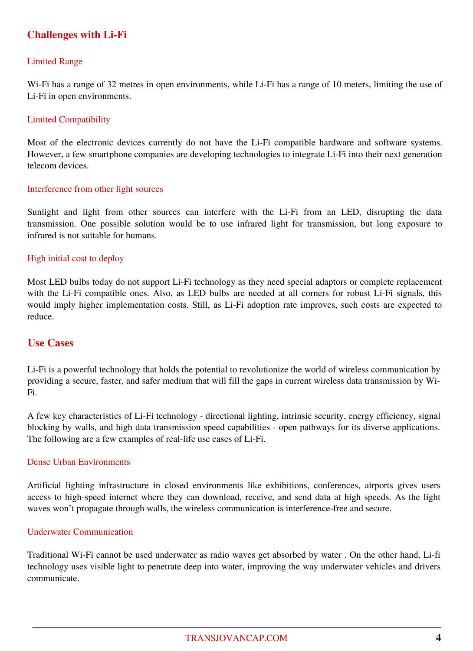# **Challenges with Li-Fi**

#### Limited Range

Wi-Fi has a range of 32 metres in open environments, while Li-Fi has a range of 10 meters, limiting the use of Li-Fi in open environments.

#### Limited Compatibility

Most of the electronic devices currently do not have the Li-Fi compatible hardware and software systems. However, a few smartphone companies are developing technologies to integrate Li-Fi into their next generation telecom devices.

#### Interference from other light sources

Sunlight and light from other sources can interfere with the Li-Fi from an LED, disrupting the data transmission. One possible solution would be to use infrared light for transmission, but long exposure to infrared is not suitable for humans.

#### High initial cost to deploy

Most LED bulbs today do not support Li-Fi technology as they need special adaptors or complete replacement with the Li-Fi compatible ones. Also, as LED bulbs are needed at all corners for robust Li-Fi signals, this would imply higher implementation costs. Still, as Li-Fi adoption rate improves, such costs are expected to reduce.

## **Use Cases**

Li-Fi is a powerful technology that holds the potential to revolutionize the world of wireless communication by providing a secure, faster, and safer medium that will fill the gaps in current wireless data transmission by Wi-Fi.

A few key characteristics of Li-Fi technology - directional lighting, intrinsic security, energy efficiency, signal blocking by walls, and high data transmission speed capabilities - open pathways for its diverse applications. The following are a few examples of real-life use cases of Li-Fi.

#### Dense Urban Environments

Artificial lighting infrastructure in closed environments like exhibitions, conferences, airports gives users access to high-speed internet where they can download, receive, and send data at high speeds. As the light waves won't propagate through walls, the wireless communication is interference-free and secure.

#### Underwater Communication

Traditional Wi-Fi cannot be used underwater as radio waves get absorbed by water . On the other hand, Li-fi technology uses visible light to penetrate deep into water, improving the way underwater vehicles and drivers communicate.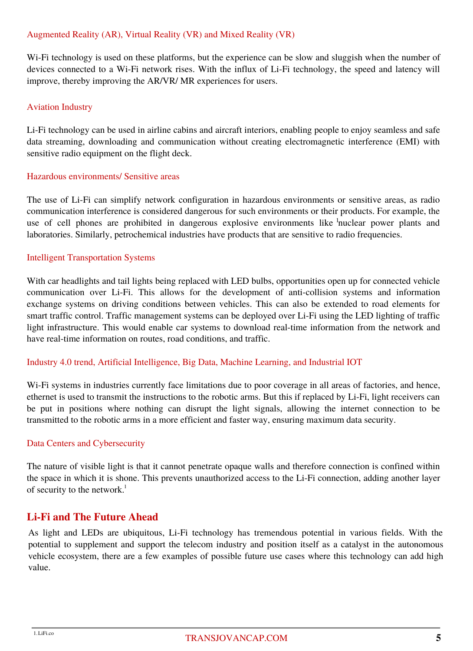## Augmented Reality (AR), Virtual Reality (VR) and Mixed Reality (VR)

Wi-Fi technology is used on these platforms, but the experience can be slow and sluggish when the number of devices connected to a Wi-Fi network rises. With the influx of Li-Fi technology, the speed and latency will improve, thereby improving the AR/VR/ MR experiences for users.

#### Aviation Industry

Li-Fi technology can be used in airline cabins and aircraft interiors, enabling people to enjoy seamless and safe data streaming, downloading and communication without creating electromagnetic interference (EMI) with sensitive radio equipment on the flight deck.

#### Hazardous environments/ Sensitive areas

use of cell phones are prohibited in dangerous explosive environments like <sup>1</sup>nuclear power plants and The use of Li-Fi can simplify network configuration in hazardous environments or sensitive areas, as radio communication interference is considered dangerous for such environments or their products. For example, the laboratories. Similarly, petrochemical industries have products that are sensitive to radio frequencies.

#### Intelligent Transportation Systems

With car headlights and tail lights being replaced with LED bulbs, opportunities open up for connected vehicle communication over Li-Fi. This allows for the development of anti-collision systems and information exchange systems on driving conditions between vehicles. This can also be extended to road elements for smart traffic control. Traffic management systems can be deployed over Li-Fi using the LED lighting of traffic light infrastructure. This would enable car systems to download real-time information from the network and have real-time information on routes, road conditions, and traffic.

#### Industry 4.0 trend, Artificial Intelligence, Big Data, Machine Learning, and Industrial IOT

Wi-Fi systems in industries currently face limitations due to poor coverage in all areas of factories, and hence, ethernet is used to transmit the instructions to the robotic arms. But this if replaced by Li-Fi, light receivers can be put in positions where nothing can disrupt the light signals, allowing the internet connection to be transmitted to the robotic arms in a more efficient and faster way, ensuring maximum data security.

#### Data Centers and Cybersecurity

The nature of visible light is that it cannot penetrate opaque walls and therefore connection is confined within the space in which it is shone. This prevents unauthorized access to the Li-Fi connection, adding another layer of security to the network.<sup>1</sup>

## **Li-Fi and The Future Ahead**

As light and LEDs are ubiquitous, Li-Fi technology has tremendous potential in various fields. With the potential to supplement and support the telecom industry and position itself as a catalyst in the autonomous vehicle ecosystem, there are a few examples of possible future use cases where this technology can add high value.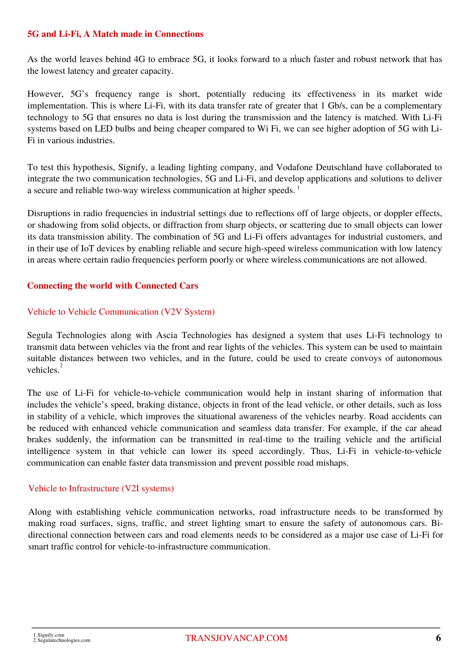### **5G and Li-Fi, A Match made in Connections**

As the world leaves behind 4G to embrace 5G, it looks forward to a much faster and robust network that has the lowest latency and greater capacity.

However, 5G's frequency range is short, potentially reducing its effectiveness in its market wide implementation. This is where Li-Fi, with its data transfer rate of greater that 1 Gb/s, can be a complementary technology to 5G that ensures no data is lost during the transmission and the latency is matched. With Li-Fi systems based on LED bulbs and being cheaper compared to Wi Fi, we can see higher adoption of 5G with Li-Fi in various industries.

To test this hypothesis, Signify, a leading lighting company, and Vodafone Deutschland have collaborated to integrate the two communication technologies, 5G and Li-Fi, and develop applications and solutions to deliver a secure and reliable two-way wireless communication at higher speeds.<sup>1</sup>

Disruptions in radio frequencies in industrial settings due to reflections off of large objects, or doppler effects, or shadowing from solid objects, or diffraction from sharp objects, or scattering due to small objects can lower its data transmission ability. The combination of 5G and Li-Fi offers advantages for industrial customers, and in their use of IoT devices by enabling reliable and secure high-speed wireless communication with low latency 2 in areas where certain radio frequencies perform poorly or where wireless communications are not allowed.

### **Connecting the world with Connected Cars**

### Vehicle to Vehicle Communication (V2V System)

Segula Technologies along with Ascia Technologies has designed a system that uses Li-Fi technology to transmit data between vehicles via the front and rear lights of the vehicles. This system can be used to maintain suitable distances between two vehicles, and in the future, could be used to create convoys of autonomous vehicles.<sup>2</sup>

The use of Li-Fi for vehicle-to-vehicle communication would help in instant sharing of information that includes the vehicle's speed, braking distance, objects in front of the lead vehicle, or other details, such as loss in stability of a vehicle, which improves the situational awareness of the vehicles nearby. Road accidents can be reduced with enhanced vehicle communication and seamless data transfer. For example, if the car ahead brakes suddenly, the information can be transmitted in real-time to the trailing vehicle and the artificial intelligence system in that vehicle can lower its speed accordingly. Thus, Li-Fi in vehicle-to-vehicle communication can enable faster data transmission and prevent possible road mishaps.

#### Vehicle to Infrastructure (V2I systems)

Along with establishing vehicle communication networks, road infrastructure needs to be transformed by making road surfaces, signs, traffic, and street lighting smart to ensure the safety of autonomous cars. Bidirectional connection between cars and road elements needs to be considered as a major use case of Li-Fi for smart traffic control for vehicle-to-infrastructure communication.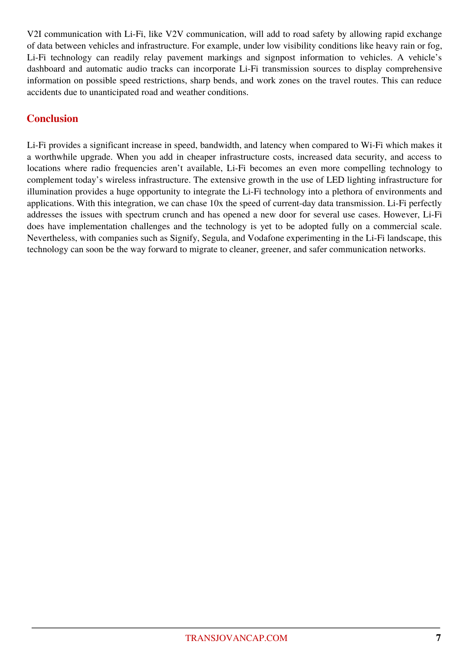V2I communication with Li-Fi, like V2V communication, will add to road safety by allowing rapid exchange of data between vehicles and infrastructure. For example, under low visibility conditions like heavy rain or fog, Li-Fi technology can readily relay pavement markings and signpost information to vehicles. A vehicle's dashboard and automatic audio tracks can incorporate Li-Fi transmission sources to display comprehensive information on possible speed restrictions, sharp bends, and work zones on the travel routes. This can reduce accidents due to unanticipated road and weather conditions.

# **Conclusion**

Li-Fi provides a significant increase in speed, bandwidth, and latency when compared to Wi-Fi which makes it a worthwhile upgrade. When you add in cheaper infrastructure costs, increased data security, and access to locations where radio frequencies aren't available, Li-Fi becomes an even more compelling technology to complement today's wireless infrastructure. The extensive growth in the use of LED lighting infrastructure for illumination provides a huge opportunity to integrate the Li-Fi technology into a plethora of environments and applications. With this integration, we can chase 10x the speed of current-day data transmission. Li-Fi perfectly addresses the issues with spectrum crunch and has opened a new door for several use cases. However, Li-Fi does have implementation challenges and the technology is yet to be adopted fully on a commercial scale. Nevertheless, with companies such as Signify, Segula, and Vodafone experimenting in the Li-Fi landscape, this technology can soon be the way forward to migrate to cleaner, greener, and safer communication networks.